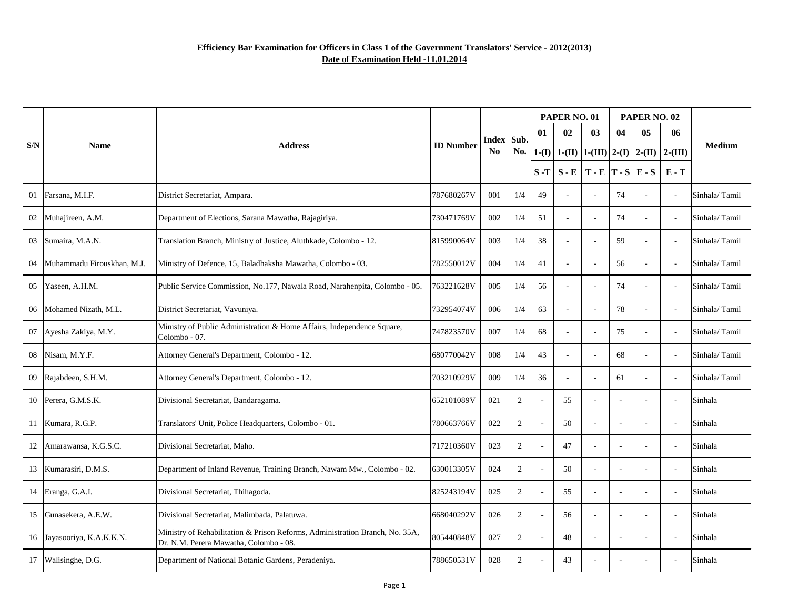|     |                            |                                                                                                                        |                  |                |                | PAPER NO. 01 |          |                       |                          | PAPER NO. 02                 |                          |               |
|-----|----------------------------|------------------------------------------------------------------------------------------------------------------------|------------------|----------------|----------------|--------------|----------|-----------------------|--------------------------|------------------------------|--------------------------|---------------|
|     |                            |                                                                                                                        | <b>ID Number</b> | Index Sub.     | No.            | 01           | 02       | 03                    | 04                       | 05                           | 06                       |               |
| S/N | <b>Name</b>                | <b>Address</b>                                                                                                         |                  | N <sub>0</sub> |                | $1-(I)$      | $1-(II)$ |                       |                          | 1-(III) 2-(I) 2-(II) 2-(III) |                          | <b>Medium</b> |
|     |                            |                                                                                                                        |                  |                |                | $S-T$        | $S - E$  | $T - E  T - S  E - S$ |                          |                              | $E - T$                  |               |
| 01  | Farsana, M.I.F.            | District Secretariat, Ampara.                                                                                          | 787680267V       | 001            | 1/4            | 49           |          |                       | 74                       |                              |                          | Sinhala/Tamil |
| 02  | Muhajireen, A.M.           | Department of Elections, Sarana Mawatha, Rajagiriya.                                                                   | 730471769V       | 002            | 1/4            | 51           |          |                       | 74                       |                              |                          | Sinhala/Tamil |
| 03  | Sumaira, M.A.N.            | Translation Branch, Ministry of Justice, Aluthkade, Colombo - 12.                                                      | 815990064V       | 003            | 1/4            | 38           |          |                       | 59                       |                              |                          | Sinhala/Tamil |
| 04  | Muhammadu Firouskhan, M.J. | Ministry of Defence, 15, Baladhaksha Mawatha, Colombo - 03.                                                            | 782550012V       | 004            | 1/4            | 41           |          |                       | 56                       |                              |                          | Sinhala/Tamil |
| 05  | Yaseen, A.H.M.             | Public Service Commission, No.177, Nawala Road, Narahenpita, Colombo - 05.                                             | 763221628V       | 005            | 1/4            | 56           |          |                       | 74                       |                              | $\overline{\phantom{a}}$ | Sinhala/Tamil |
| 06  | Mohamed Nizath, M.L.       | District Secretariat, Vavuniya.                                                                                        | 732954074V       | 006            | 1/4            | 63           |          |                       | 78                       |                              |                          | Sinhala/Tamil |
| 07  | Ayesha Zakiya, M.Y.        | Ministry of Public Administration & Home Affairs, Independence Square,<br>Colombo - 07.                                | 747823570V       | 007            | 1/4            | 68           |          |                       | 75                       |                              |                          | Sinhala/Tamil |
| 08  | Nisam, M.Y.F.              | Attorney General's Department, Colombo - 12.                                                                           | 680770042V       | 008            | 1/4            | 43           |          |                       | 68                       |                              |                          | Sinhala/Tamil |
| 09  | Rajabdeen, S.H.M.          | Attorney General's Department, Colombo - 12.                                                                           | 703210929V       | 009            | 1/4            | 36           |          |                       | 61                       |                              | $\overline{\phantom{a}}$ | Sinhala/Tamil |
| 10  | Perera, G.M.S.K.           | Divisional Secretariat, Bandaragama.                                                                                   | 652101089V       | 021            | $\overline{2}$ |              | 55       |                       | $\overline{\phantom{a}}$ |                              | $\overline{\phantom{a}}$ | Sinhala       |
|     | Kumara, R.G.P.             | Translators' Unit, Police Headquarters, Colombo - 01.                                                                  | 780663766V       | 022            | $\overline{2}$ |              | 50       |                       | $\overline{\phantom{a}}$ | $\overline{\phantom{a}}$     | $\overline{\phantom{a}}$ | Sinhala       |
|     | Amarawansa, K.G.S.C.       | Divisional Secretariat, Maho.                                                                                          | 717210360V       | 023            | $\mathfrak{2}$ |              | 47       |                       |                          |                              |                          | Sinhala       |
| 13  | Kumarasiri, D.M.S.         | Department of Inland Revenue, Training Branch, Nawam Mw., Colombo - 02.                                                | 630013305V       | 024            | $\overline{2}$ |              | 50       |                       | $\overline{\phantom{a}}$ |                              |                          | Sinhala       |
| 14  | Eranga, G.A.I.             | Divisional Secretariat, Thihagoda.                                                                                     | 825243194V       | 025            | $\overline{2}$ |              | 55       |                       | $\overline{\phantom{a}}$ |                              | $\overline{\phantom{a}}$ | Sinhala       |
| 15  | Gunasekera, A.E.W.         | Divisional Secretariat, Malimbada, Palatuwa.                                                                           | 668040292V       | 026            | $\overline{2}$ |              | 56       |                       | $\overline{a}$           |                              | $\overline{\phantom{a}}$ | Sinhala       |
| 16  | Jayasooriya, K.A.K.K.N.    | Ministry of Rehabilitation & Prison Reforms, Administration Branch, No. 35A,<br>Dr. N.M. Perera Mawatha, Colombo - 08. | 805440848V       | 027            | $\overline{2}$ |              | 48       |                       | $\overline{a}$           |                              | $\overline{\phantom{a}}$ | Sinhala       |
| 17  | Walisinghe, D.G.           | Department of National Botanic Gardens, Peradeniya.                                                                    | 788650531V       | 028            | $\overline{2}$ |              | 43       |                       |                          |                              |                          | Sinhala       |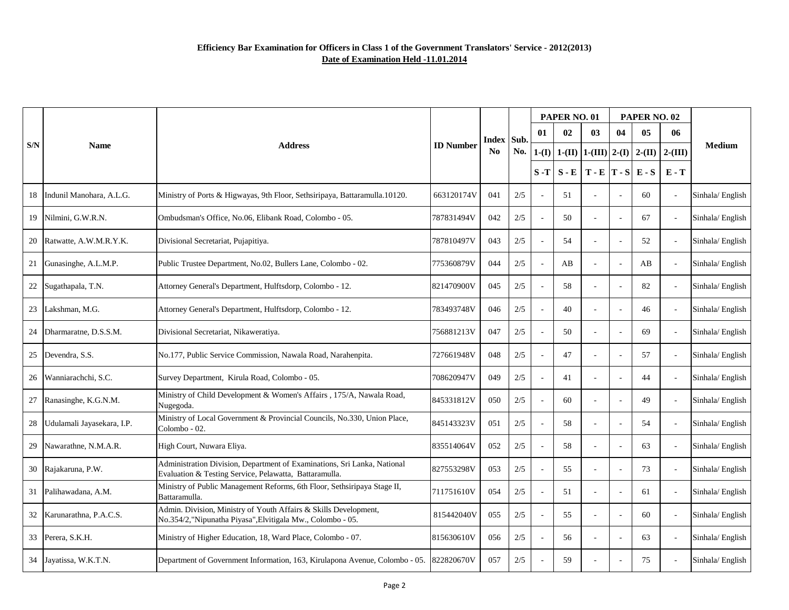|     |                            |                                                                                                                                    |                                    | Index Sub. |       |         | PAPER NO. 01 |                       |                          | PAPER NO. 02          |                |                 |
|-----|----------------------------|------------------------------------------------------------------------------------------------------------------------------------|------------------------------------|------------|-------|---------|--------------|-----------------------|--------------------------|-----------------------|----------------|-----------------|
|     |                            |                                                                                                                                    | <b>ID Number</b><br><b>Address</b> |            | No.   | 01      | 02           | 03                    | 04                       | 05                    | 06             |                 |
| S/N | <b>Name</b>                |                                                                                                                                    |                                    | <b>No</b>  |       | $1-(I)$ | $1-(II)$     | $1-(III)$ 2-(I)       |                          | $2-(II)$   2- $(III)$ |                | <b>Medium</b>   |
|     |                            |                                                                                                                                    |                                    |            |       | $S-T$   | $S - E$      | $T - E  T - S  E - S$ |                          |                       | $E - T$        |                 |
| 18  | Indunil Manohara, A.L.G.   | Ministry of Ports & Higwayas, 9th Floor, Sethsiripaya, Battaramulla.10120.                                                         | 663120174V                         | 041        | 2/5   |         | 51           |                       |                          | 60                    |                | Sinhala/English |
|     | 19 Nilmini, G.W.R.N.       | Ombudsman's Office, No.06, Elibank Road, Colombo - 05.                                                                             | 787831494V                         | 042        | 2/5   |         | 50           |                       |                          | 67                    |                | Sinhala/English |
|     | 20 Ratwatte, A.W.M.R.Y.K.  | Divisional Secretariat, Pujapitiya.                                                                                                | 787810497V                         | 043        | 2/5   |         | 54           |                       |                          | 52                    |                | Sinhala/English |
| 21  | Gunasinghe, A.L.M.P.       | Public Trustee Department, No.02, Bullers Lane, Colombo - 02.                                                                      | 775360879V                         | 044        | 2/5   |         | AB           |                       | $\overline{\phantom{a}}$ | AB                    |                | Sinhala/English |
| 22  | Sugathapala, T.N.          | Attorney General's Department, Hulftsdorp, Colombo - 12.                                                                           | 821470900V                         | 045        | 2/5   |         | 58           |                       | $\overline{\phantom{a}}$ | 82                    |                | Sinhala/English |
| 23  | Lakshman, M.G.             | Attorney General's Department, Hulftsdorp, Colombo - 12.                                                                           | 783493748V                         | 046        | 2/5   |         | 40           |                       | $\overline{\phantom{a}}$ | 46                    |                | Sinhala/English |
| 24  | Dharmaratne, D.S.S.M.      | Divisional Secretariat, Nikaweratiya.                                                                                              | 756881213V                         | 047        | 2/5   |         | 50           |                       | $\overline{\phantom{a}}$ | 69                    |                | Sinhala/English |
|     | 25 Devendra, S.S.          | No.177, Public Service Commission, Nawala Road, Narahenpita.                                                                       | 727661948V                         | 048        | 2/5   |         | 47           |                       | $\overline{\phantom{a}}$ | 57                    |                | Sinhala/English |
| 26  | Wanniarachchi, S.C.        | Survey Department, Kirula Road, Colombo - 05.                                                                                      | 708620947V                         | 049        | 2/5   |         | 41           |                       | $\overline{\phantom{a}}$ | 44                    | $\sim$         | Sinhala/English |
|     | 27 Ranasinghe, K.G.N.M.    | Ministry of Child Development & Women's Affairs, 175/A, Nawala Road,<br>Nugegoda.                                                  | 845331812V                         | 050        | 2/5   |         | 60           |                       | $\overline{\phantom{a}}$ | 49                    |                | Sinhala/English |
| 28  | Udulamali Jayasekara, I.P. | Ministry of Local Government & Provincial Councils, No.330, Union Place,<br>Colombo - 02.                                          | 845143323V                         | 051        | 2/5   |         | 58           |                       |                          | 54                    | $\sim$         | Sinhala/English |
| 29  | Nawarathne, N.M.A.R.       | High Court, Nuwara Eliya.                                                                                                          | 835514064V                         | 052        | 2/5   |         | 58           |                       |                          | 63                    |                | Sinhala/English |
|     | 30 Rajakaruna, P.W.        | Administration Division, Department of Examinations, Sri Lanka, National<br>Evaluation & Testing Service, Pelawatta, Battaramulla. | 827553298V                         | 053        | 2/5   |         | 55           |                       |                          | 73                    |                | Sinhala/English |
| 31  | Palihawadana, A.M.         | Ministry of Public Management Reforms, 6th Floor, Sethsiripaya Stage II,<br>Battaramulla.                                          | 711751610V                         | 054        | 2/5   |         | 51           |                       | $\overline{\phantom{a}}$ | 61                    |                | Sinhala/English |
| 32  | Karunarathna, P.A.C.S.     | Admin. Division, Ministry of Youth Affairs & Skills Development,<br>No.354/2, "Nipunatha Piyasa", Elvitigala Mw., Colombo - 05.    | 815442040V                         | 055        | 2/5   |         | 55           |                       | $\overline{\phantom{a}}$ | 60                    |                | Sinhala/English |
|     | 33 Perera, S.K.H.          | Ministry of Higher Education, 18, Ward Place, Colombo - 07.                                                                        | 815630610V                         | 056        | 2/5   |         | 56           |                       | $\overline{\phantom{a}}$ | 63                    | $\blacksquare$ | Sinhala/English |
|     | 34 Jayatissa, W.K.T.N.     | Department of Government Information, 163, Kirulapona Avenue, Colombo - 05.                                                        | 822820670V                         | 057        | $2/5$ |         | 59           |                       |                          | 75                    |                | Sinhala/English |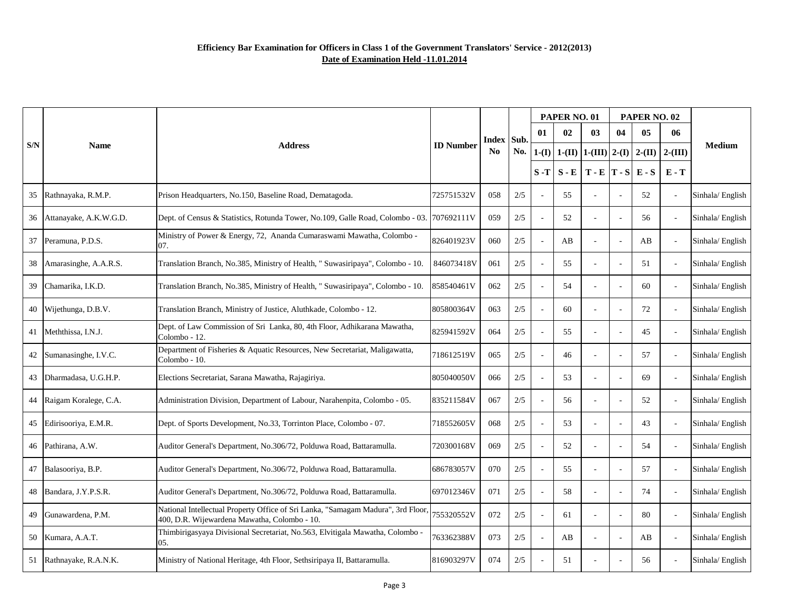|     |                           | <b>ID Number</b><br><b>Address</b><br>N <sub>0</sub>                                                                             |            |              |       | PAPER NO. 01 |          |                                 | PAPER NO. 02             |          |                          |                 |
|-----|---------------------------|----------------------------------------------------------------------------------------------------------------------------------|------------|--------------|-------|--------------|----------|---------------------------------|--------------------------|----------|--------------------------|-----------------|
|     | <b>Name</b>               |                                                                                                                                  |            | Index   Sub. |       | 01           | 02       | 03                              | 04                       | 05       | 06                       |                 |
| S/N |                           |                                                                                                                                  |            |              | No.   | $1-(I)$      | $1-(II)$ | $\vert 1$ -(III) $\vert 2$ -(I) |                          | $2-(II)$ | $2-(III)$                | <b>Medium</b>   |
|     |                           |                                                                                                                                  |            |              |       | $S - T$      | $S - E$  | $T - E  T - S $                 |                          | $E-S$    | $E - T$                  |                 |
|     | 35 Rathnayaka, R.M.P.     | Prison Headquarters, No.150, Baseline Road, Dematagoda.                                                                          | 725751532V | 058          | 2/5   |              | 55       |                                 |                          | 52       |                          | Sinhala/English |
|     | 36 Attanayake, A.K.W.G.D. | Dept. of Census & Statistics, Rotunda Tower, No.109, Galle Road, Colombo - 03. [707692111V]                                      |            | 059          | 2/5   |              | 52       |                                 |                          | 56       |                          | Sinhala/English |
|     | 37 Peramuna, P.D.S.       | Ministry of Power & Energy, 72, Ananda Cumaraswami Mawatha, Colombo -<br>07.                                                     | 826401923V | 060          | 2/5   |              | AB       |                                 |                          | AB       |                          | Sinhala/English |
|     | 38 Amarasinghe, A.A.R.S.  | Translation Branch, No.385, Ministry of Health, " Suwasiripaya", Colombo - 10.                                                   | 846073418V | 061          | 2/5   |              | 55       |                                 | $\blacksquare$           | 51       |                          | Sinhala/English |
| 39  | Chamarika, I.K.D.         | Translation Branch, No.385, Ministry of Health, " Suwasiripaya", Colombo - 10.                                                   | 858540461V | 062          | 2/5   |              | 54       |                                 | $\overline{\phantom{a}}$ | 60       |                          | Sinhala/English |
|     | 40 Wijethunga, D.B.V.     | Translation Branch, Ministry of Justice, Aluthkade, Colombo - 12.                                                                | 805800364V | 063          | 2/5   |              | 60       |                                 |                          | 72       |                          | Sinhala/English |
|     | 41   Meththissa, I.N.J.   | Dept. of Law Commission of Sri Lanka, 80, 4th Floor, Adhikarana Mawatha,<br>Colombo - 12.                                        | 825941592V | 064          | 2/5   |              | 55       |                                 |                          | 45       |                          | Sinhala/English |
|     | 42 Sumanasinghe, I.V.C.   | Department of Fisheries & Aquatic Resources, New Secretariat, Maligawatta,<br>Colombo - 10.                                      | 718612519V | 065          | 2/5   |              | 46       |                                 |                          | 57       |                          | Sinhala/English |
|     | 43   Dharmadasa, U.G.H.P. | Elections Secretariat, Sarana Mawatha, Rajagiriya.                                                                               | 805040050V | 066          | 2/5   |              | 53       |                                 |                          | 69       | $\overline{\phantom{a}}$ | Sinhala/English |
|     | 44 Raigam Koralege, C.A.  | Administration Division, Department of Labour, Narahenpita, Colombo - 05.                                                        | 835211584V | 067          | 2/5   |              | 56       |                                 |                          | 52       |                          | Sinhala/English |
|     | 45 Edirisooriya, E.M.R.   | Dept. of Sports Development, No.33, Torrinton Place, Colombo - 07.                                                               | 718552605V | 068          | 2/5   |              | 53       |                                 |                          | 43       | $\mathbf{r}$             | Sinhala/English |
|     | 46 Pathirana, A.W.        | Auditor General's Department, No.306/72, Polduwa Road, Battaramulla.                                                             | 720300168V | 069          | 2/5   |              | 52       |                                 |                          | 54       |                          | Sinhala/English |
|     | 47 Balasooriya, B.P.      | Auditor General's Department, No.306/72, Polduwa Road, Battaramulla.                                                             | 686783057V | 070          | 2/5   |              | 55       |                                 |                          | 57       |                          | Sinhala/English |
|     | 48   Bandara, J.Y.P.S.R.  | Auditor General's Department, No.306/72, Polduwa Road, Battaramulla.                                                             | 697012346V | 071          | 2/5   |              | 58       |                                 |                          | 74       |                          | Sinhala/English |
| 49  | Gunawardena, P.M.         | National Intellectual Property Office of Sri Lanka, "Samagam Madura", 3rd Floor,<br>400, D.R. Wijewardena Mawatha, Colombo - 10. | 755320552V | 072          | $2/5$ |              | 61       |                                 | $\overline{\phantom{a}}$ | 80       |                          | Sinhala/English |
|     | 50 Kumara, A.A.T.         | Thimbirigasyaya Divisional Secretariat, No.563, Elvitigala Mawatha, Colombo -<br>05.                                             | 763362388V | 073          | $2/5$ |              | AB       |                                 | $\overline{\phantom{a}}$ | AB       |                          | Sinhala/English |
|     | 51 Rathnayake, R.A.N.K.   | Ministry of National Heritage, 4th Floor, Sethsiripaya II, Battaramulla.                                                         | 816903297V | 074          | $2/5$ |              | 51       |                                 |                          | 56       |                          | Sinhala/English |